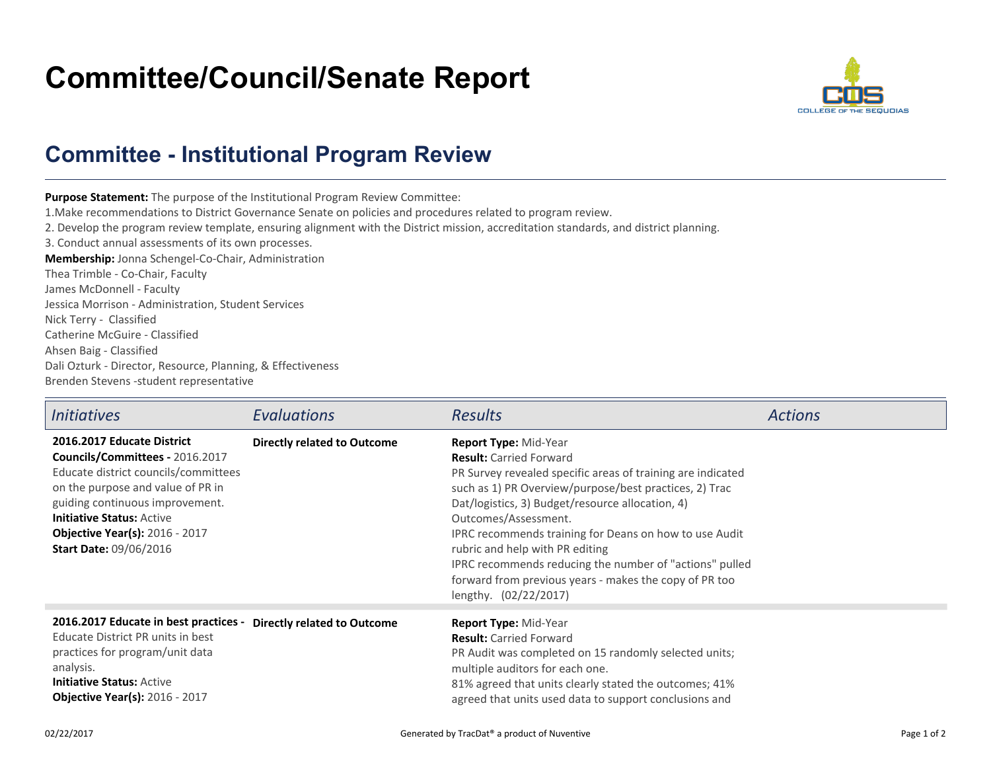## **Committee/Council/Senate Report**



## **Committee - Institutional Program Review**

**Purpose Statement:** The purpose of the Institutional Program Review Committee:1.Make recommendations to District Governance Senate on policies and procedures related to program review.2. Develop the program review template, ensuring alignment with the District mission, accreditation standards, and district planning.3. Conduct annual assessments of its own processes.**Membership:** Jonna Schengel-Co-Chair, AdministrationThea Trimble - Co-Chair, FacultyJames McDonnell - Faculty Jessica Morrison - Administration, Student ServicesNick Terry - Classified Catherine McGuire - ClassifiedAhsen Baig - Classified Dali Ozturk - Director, Resource, Planning, & EffectivenessBrenden Stevens -student representative

| <b>Initiatives</b>                                                                                                                                                                                                                                                                          | Evaluations                        | <b>Results</b>                                                                                                                                                                                                                                                                                                                                                                                                                                                                                          | <b>Actions</b> |
|---------------------------------------------------------------------------------------------------------------------------------------------------------------------------------------------------------------------------------------------------------------------------------------------|------------------------------------|---------------------------------------------------------------------------------------------------------------------------------------------------------------------------------------------------------------------------------------------------------------------------------------------------------------------------------------------------------------------------------------------------------------------------------------------------------------------------------------------------------|----------------|
| 2016.2017 Educate District<br>Councils/Committees - 2016.2017<br>Educate district councils/committees<br>on the purpose and value of PR in<br>guiding continuous improvement.<br><b>Initiative Status: Active</b><br><b>Objective Year(s): 2016 - 2017</b><br><b>Start Date: 09/06/2016</b> | <b>Directly related to Outcome</b> | Report Type: Mid-Year<br><b>Result:</b> Carried Forward<br>PR Survey revealed specific areas of training are indicated<br>such as 1) PR Overview/purpose/best practices, 2) Trac<br>Dat/logistics, 3) Budget/resource allocation, 4)<br>Outcomes/Assessment.<br>IPRC recommends training for Deans on how to use Audit<br>rubric and help with PR editing<br>IPRC recommends reducing the number of "actions" pulled<br>forward from previous years - makes the copy of PR too<br>lengthy. (02/22/2017) |                |
| 2016.2017 Educate in best practices - Directly related to Outcome<br>Educate District PR units in best<br>practices for program/unit data<br>analysis.<br><b>Initiative Status: Active</b><br><b>Objective Year(s): 2016 - 2017</b>                                                         |                                    | Report Type: Mid-Year<br><b>Result:</b> Carried Forward<br>PR Audit was completed on 15 randomly selected units;<br>multiple auditors for each one.<br>81% agreed that units clearly stated the outcomes; 41%<br>agreed that units used data to support conclusions and                                                                                                                                                                                                                                 |                |